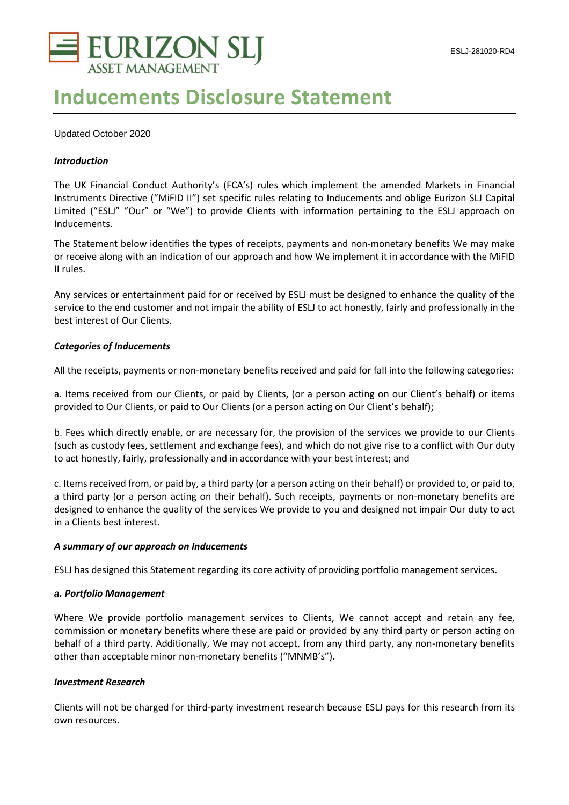

# **Inducements Disclosure Statement**

# Updated October 2020

# *Introduction*

The UK Financial Conduct Authority's (FCA's) rules which implement the amended Markets in Financial Instruments Directive ("MiFID II") set specific rules relating to Inducements and oblige Eurizon SLJ Capital Limited ("ESLJ" "Our" or "We") to provide Clients with information pertaining to the ESLJ approach on Inducements.

The Statement below identifies the types of receipts, payments and non-monetary benefits We may make or receive along with an indication of our approach and how We implement it in accordance with the MiFID II rules.

Any services or entertainment paid for or received by ESLJ must be designed to enhance the quality of the service to the end customer and not impair the ability of ESLJ to act honestly, fairly and professionally in the best interest of Our Clients.

### *Categories of Inducements*

All the receipts, payments or non-monetary benefits received and paid for fall into the following categories:

a. Items received from our Clients, or paid by Clients, (or a person acting on our Client's behalf) or items provided to Our Clients, or paid to Our Clients (or a person acting on Our Client's behalf);

b. Fees which directly enable, or are necessary for, the provision of the services we provide to our Clients (such as custody fees, settlement and exchange fees), and which do not give rise to a conflict with Our duty to act honestly, fairly, professionally and in accordance with your best interest; and

c. Items received from, or paid by, a third party (or a person acting on their behalf) or provided to, or paid to, a third party (or a person acting on their behalf). Such receipts, payments or non-monetary benefits are designed to enhance the quality of the services We provide to you and designed not impair Our duty to act in a Clients best interest.

# *A summary of our approach on Inducements*

ESLJ has designed this Statement regarding its core activity of providing portfolio management services.

#### *a. Portfolio Management*

Where We provide portfolio management services to Clients, We cannot accept and retain any fee, commission or monetary benefits where these are paid or provided by any third party or person acting on behalf of a third party. Additionally, We may not accept, from any third party, any non-monetary benefits other than acceptable minor non-monetary benefits ("MNMB's").

# *Investment Research*

Clients will not be charged for third-party investment research because ESLJ pays for this research from its own resources.